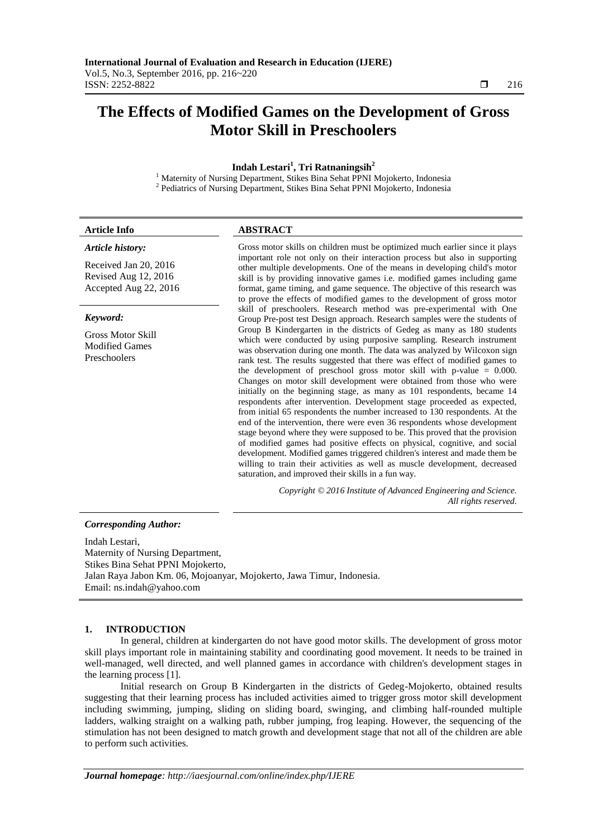# **The Effects of Modified Games on the Development of Gross Motor Skill in Preschoolers**

**Indah Lestari<sup>1</sup> , Tri Ratnaningsih<sup>2</sup>**

<sup>1</sup> Maternity of Nursing Department, Stikes Bina Sehat PPNI Mojokerto, Indonesia <sup>2</sup> Pediatrics of Nursing Department, Stikes Bina Sehat PPNI Mojokerto, Indonesia

#### *Article history:*

Received Jan 20, 2016 Revised Aug 12, 2016 Accepted Aug 22, 2016

#### *Keyword:*

Gross Motor Skill Modified Games Preschoolers

## **Article Info ABSTRACT**

Gross motor skills on children must be optimized much earlier since it plays important role not only on their interaction process but also in supporting other multiple developments. One of the means in developing child's motor skill is by providing innovative games i.e. modified games including game format, game timing, and game sequence. The objective of this research was to prove the effects of modified games to the development of gross motor skill of preschoolers. Research method was pre-experimental with One Group Pre-post test Design approach. Research samples were the students of Group B Kindergarten in the districts of Gedeg as many as 180 students which were conducted by using purposive sampling. Research instrument was observation during one month. The data was analyzed by Wilcoxon sign rank test. The results suggested that there was effect of modified games to the development of preschool gross motor skill with p-value = 0.000. Changes on motor skill development were obtained from those who were initially on the beginning stage, as many as 101 respondents, became 14 respondents after intervention. Development stage proceeded as expected, from initial 65 respondents the number increased to 130 respondents. At the end of the intervention, there were even 36 respondents whose development stage beyond where they were supposed to be. This proved that the provision of modified games had positive effects on physical, cognitive, and social development. Modified games triggered children's interest and made them be willing to train their activities as well as muscle development, decreased saturation, and improved their skills in a fun way.

> *Copyright © 2016 Institute of Advanced Engineering and Science. All rights reserved.*

#### *Corresponding Author:*

Indah Lestari, Maternity of Nursing Department, Stikes Bina Sehat PPNI Mojokerto, Jalan Raya Jabon Km. 06, Mojoanyar, Mojokerto, Jawa Timur, Indonesia. Email: [ns.indah@yahoo.com](mailto:ns.indah@yahoo.com)

# **1. INTRODUCTION**

In general, children at kindergarten do not have good motor skills. The development of gross motor skill plays important role in maintaining stability and coordinating good movement. It needs to be trained in well-managed, well directed, and well planned games in accordance with children's development stages in the learning process [1].

Initial research on Group B Kindergarten in the districts of Gedeg-Mojokerto, obtained results suggesting that their learning process has included activities aimed to trigger gross motor skill development including swimming, jumping, sliding on sliding board, swinging, and climbing half-rounded multiple ladders, walking straight on a walking path, rubber jumping, frog leaping. However, the sequencing of the stimulation has not been designed to match growth and development stage that not all of the children are able to perform such activities.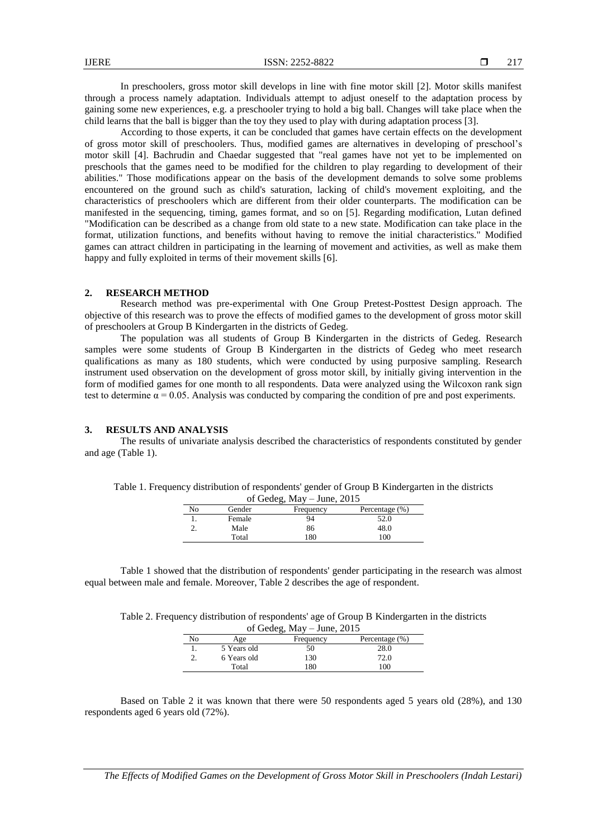In preschoolers, gross motor skill develops in line with fine motor skill [2]. Motor skills manifest through a process namely adaptation. Individuals attempt to adjust oneself to the adaptation process by gaining some new experiences, e.g. a preschooler trying to hold a big ball. Changes will take place when the child learns that the ball is bigger than the toy they used to play with during adaptation process [3].

According to those experts, it can be concluded that games have certain effects on the development of gross motor skill of preschoolers. Thus, modified games are alternatives in developing of preschool's motor skill [4]. Bachrudin and Chaedar suggested that "real games have not yet to be implemented on preschools that the games need to be modified for the children to play regarding to development of their abilities." Those modifications appear on the basis of the development demands to solve some problems encountered on the ground such as child's saturation, lacking of child's movement exploiting, and the characteristics of preschoolers which are different from their older counterparts. The modification can be manifested in the sequencing, timing, games format, and so on [5]. Regarding modification, Lutan defined "Modification can be described as a change from old state to a new state. Modification can take place in the format, utilization functions, and benefits without having to remove the initial characteristics." Modified games can attract children in participating in the learning of movement and activities, as well as make them happy and fully exploited in terms of their movement skills [6].

## **2. RESEARCH METHOD**

Research method was pre-experimental with One Group Pretest-Posttest Design approach. The objective of this research was to prove the effects of modified games to the development of gross motor skill of preschoolers at Group B Kindergarten in the districts of Gedeg.

The population was all students of Group B Kindergarten in the districts of Gedeg. Research samples were some students of Group B Kindergarten in the districts of Gedeg who meet research qualifications as many as 180 students, which were conducted by using purposive sampling. Research instrument used observation on the development of gross motor skill, by initially giving intervention in the form of modified games for one month to all respondents. Data were analyzed using the Wilcoxon rank sign test to determine  $\alpha = 0.05$ . Analysis was conducted by comparing the condition of pre and post experiments.

## **3. RESULTS AND ANALYSIS**

The results of univariate analysis described the characteristics of respondents constituted by gender and age (Table 1).

| of Gedeg, $May - June, 2015$ |        |           |                |  |  |
|------------------------------|--------|-----------|----------------|--|--|
| No                           | Gender | Frequency | Percentage (%) |  |  |
|                              | Female | 94        | 52.0           |  |  |
|                              | Male   | 86        | 48.0           |  |  |
|                              | Total  | 180       | 100            |  |  |

Table 1. Frequency distribution of respondents' gender of Group B Kindergarten in the districts

Table 1 showed that the distribution of respondents' gender participating in the research was almost equal between male and female. Moreover, Table 2 describes the age of respondent.

| Table 2. Frequency distribution of respondents' age of Group B Kindergarten in the districts |                                 |  |  |  |
|----------------------------------------------------------------------------------------------|---------------------------------|--|--|--|
|                                                                                              | $\epsilon$ Cadar Mass Line 2015 |  |  |  |

| of Gedeg, $May - June, 2015$ |             |           |                |  |  |
|------------------------------|-------------|-----------|----------------|--|--|
| No                           | Age         | Frequency | Percentage (%) |  |  |
|                              | 5 Years old | 50        | 28.0           |  |  |
|                              | 6 Years old | 130       | 72.0           |  |  |
|                              | Total       | 180       | 100            |  |  |

Based on Table 2 it was known that there were 50 respondents aged 5 years old (28%), and 130 respondents aged 6 years old (72%).

*The Effects of Modified Games on the Development of Gross Motor Skill in Preschoolers (Indah Lestari)*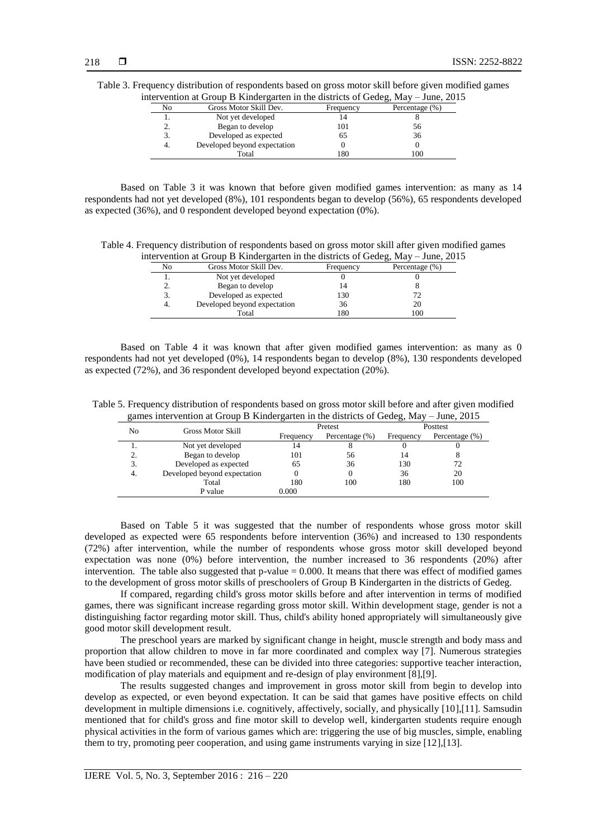|                | itervention at Group B Kindergarten in the districts of Gedeg, May – June, 2012 |           |                |
|----------------|---------------------------------------------------------------------------------|-----------|----------------|
| N <sub>o</sub> | Gross Motor Skill Dev.                                                          | Frequency | Percentage (%) |
|                | Not yet developed                                                               |           |                |
| 2.             | Began to develop                                                                | 101       | 56             |
| 3.             | Developed as expected                                                           | 65        | 36             |
| 4.             | Developed beyond expectation                                                    |           |                |
|                | Total                                                                           | 180       | 100            |

Table 3. Frequency distribution of respondents based on gross motor skill before given modified games<br>intervention at Group B Kindergarten in the districts of Gedea May June 2015 intervention at Group B Kindergarten in the districts of Gedeg, May – June, 2015

Based on Table 3 it was known that before given modified games intervention: as many as 14 respondents had not yet developed (8%), 101 respondents began to develop (56%), 65 respondents developed as expected (36%), and 0 respondent developed beyond expectation (0%).

Table 4. Frequency distribution of respondents based on gross motor skill after given modified games intervention at Group B Kindergarten in the districts of Gedeg, May – June, 2015

|    | $\ldots$ . The state $\ldots$ is a set of $\ldots$ and $\ldots$ and $\ldots$ and $\ldots$ are $\ldots$ |           |                |
|----|--------------------------------------------------------------------------------------------------------|-----------|----------------|
| No | Gross Motor Skill Dev.                                                                                 | Frequency | Percentage (%) |
|    | Not yet developed                                                                                      |           |                |
|    | Began to develop                                                                                       |           |                |
|    | Developed as expected                                                                                  | 130       |                |
|    | Developed beyond expectation                                                                           | 36        | 20             |
|    | Total                                                                                                  | 180       | 100            |
|    |                                                                                                        |           |                |

Based on Table 4 it was known that after given modified games intervention: as many as 0 respondents had not yet developed (0%), 14 respondents began to develop (8%), 130 respondents developed as expected (72%), and 36 respondent developed beyond expectation (20%).

Table 5. Frequency distribution of respondents based on gross motor skill before and after given modified games intervention at Group B Kindergarten in the districts of Gedeg, May – June, 2015

| No  | <b>Gross Motor Skill</b>     |           | Pretest            | Posttest  |                |
|-----|------------------------------|-----------|--------------------|-----------|----------------|
|     |                              | Frequency | Percentage $(\% )$ | Frequency | Percentage (%) |
|     | Not yet developed            | 14        |                    |           |                |
| 2.  | Began to develop             | 101       | 56                 | 14        | 8              |
| 3.  | Developed as expected        | 65        | 36                 | 130       | 72             |
| -4. | Developed beyond expectation |           |                    | 36        | 20             |
|     | Total                        | 180       | 100                | 180       | 100            |
|     | P value                      | 0.000     |                    |           |                |

Based on Table 5 it was suggested that the number of respondents whose gross motor skill developed as expected were 65 respondents before intervention (36%) and increased to 130 respondents (72%) after intervention, while the number of respondents whose gross motor skill developed beyond expectation was none (0%) before intervention, the number increased to 36 respondents (20%) after intervention. The table also suggested that p-value = 0.000. It means that there was effect of modified games to the development of gross motor skills of preschoolers of Group B Kindergarten in the districts of Gedeg.

If compared, regarding child's gross motor skills before and after intervention in terms of modified games, there was significant increase regarding gross motor skill. Within development stage, gender is not a distinguishing factor regarding motor skill. Thus, child's ability honed appropriately will simultaneously give good motor skill development result.

The preschool years are marked by significant change in height, muscle strength and body mass and proportion that allow children to move in far more coordinated and complex way [7]. Numerous strategies have been studied or recommended, these can be divided into three categories: supportive teacher interaction, modification of play materials and equipment and re-design of play environment [8],[9].

The results suggested changes and improvement in gross motor skill from begin to develop into develop as expected, or even beyond expectation. It can be said that games have positive effects on child development in multiple dimensions i.e. cognitively, affectively, socially, and physically [10],[11]. Samsudin mentioned that for child's gross and fine motor skill to develop well, kindergarten students require enough physical activities in the form of various games which are: triggering the use of big muscles, simple, enabling them to try, promoting peer cooperation, and using game instruments varying in size [12],[13].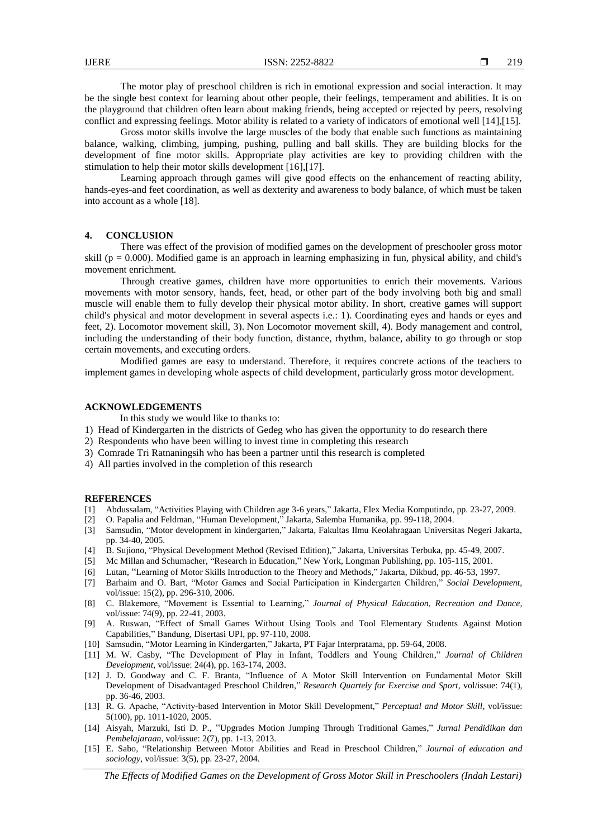The motor play of preschool children is rich in emotional expression and social interaction. It may be the single best context for learning about other people, their feelings, temperament and abilities. It is on the playground that children often learn about making friends, being accepted or rejected by peers, resolving conflict and expressing feelings. Motor ability is related to a variety of indicators of emotional well [14],[15].

Gross motor skills involve the large muscles of the body that enable such functions as maintaining balance, walking, climbing, jumping, pushing, pulling and ball skills. They are building blocks for the development of fine motor skills. Appropriate play activities are key to providing children with the stimulation to help their motor skills development [16],[17].

Learning approach through games will give good effects on the enhancement of reacting ability, hands-eyes-and feet coordination, as well as dexterity and awareness to body balance, of which must be taken into account as a whole [18].

## **4. CONCLUSION**

There was effect of the provision of modified games on the development of preschooler gross motor skill ( $p = 0.000$ ). Modified game is an approach in learning emphasizing in fun, physical ability, and child's movement enrichment.

Through creative games, children have more opportunities to enrich their movements. Various movements with motor sensory, hands, feet, head, or other part of the body involving both big and small muscle will enable them to fully develop their physical motor ability. In short, creative games will support child's physical and motor development in several aspects i.e.: 1). Coordinating eyes and hands or eyes and feet, 2). Locomotor movement skill, 3). Non Locomotor movement skill, 4). Body management and control, including the understanding of their body function, distance, rhythm, balance, ability to go through or stop certain movements, and executing orders.

Modified games are easy to understand. Therefore, it requires concrete actions of the teachers to implement games in developing whole aspects of child development, particularly gross motor development.

## **ACKNOWLEDGEMENTS**

In this study we would like to thanks to:

- 1) Head of Kindergarten in the districts of Gedeg who has given the opportunity to do research there
- 2) Respondents who have been willing to invest time in completing this research
- 3) Comrade Tri Ratnaningsih who has been a partner until this research is completed
- 4) All parties involved in the completion of this research

#### **REFERENCES**

- [1] Abdussalam, "Activities Playing with Children age 3-6 years," Jakarta, Elex Media Komputindo, pp. 23-27, 2009.
- [2] O. Papalia and Feldman, "Human Development," Jakarta, Salemba Humanika, pp. 99-118, 2004.
- [3] Samsudin, "Motor development in kindergarten," Jakarta, Fakultas Ilmu Keolahragaan Universitas Negeri Jakarta, pp. 34-40, 2005.
- [4] B. Sujiono, "Physical Development Method (Revised Edition)," Jakarta, Universitas Terbuka, pp. 45-49, 2007.
- [5] Mc Millan and Schumacher, "Research in Education," New York, Longman Publishing, pp. 105-115, 2001.
- [6] Lutan, "Learning of Motor Skills Introduction to the Theory and Methods," Jakarta, Dikbud, pp. 46-53, 1997.
- [7] Barhaim and O. Bart, "Motor Games and Social Participation in Kindergarten Children," *Social Development*, vol/issue: 15(2), pp. 296-310, 2006.
- [8] C. Blakemore, "Movement is Essential to Learning," *Journal of Physical Education, Recreation and Dance*, vol/issue: 74(9), pp. 22-41, 2003.
- [9] A. Ruswan, "Effect of Small Games Without Using Tools and Tool Elementary Students Against Motion Capabilities," Bandung, Disertasi UPI, pp. 97-110, 2008.
- [10] Samsudin, "Motor Learning in Kindergarten," Jakarta, PT Fajar Interpratama, pp. 59-64, 2008.
- [11] M. W. Casby, "The Development of Play in Infant, Toddlers and Young Children," *Journal of Children Development*, vol/issue: 24(4), pp. 163-174, 2003.
- [12] J. D. Goodway and C. F. Branta, "Influence of A Motor Skill Intervention on Fundamental Motor Skill Development of Disadvantaged Preschool Children," *Research Quartely for Exercise and Sport*, vol/issue: 74(1), pp. 36-46, 2003.
- [13] R. G. Apache, "Activity-based Intervention in Motor Skill Development," *Perceptual and Motor Skill*, vol/issue: 5(100), pp. 1011-1020, 2005.
- [14] Aisyah, Marzuki, Isti D. P., "Upgrades Motion Jumping Through Traditional Games," *Jurnal Pendidikan dan Pembelajaraan*, vol/issue: 2(7), pp. 1-13, 2013.
- [15] E. Sabo, "Relationship Between Motor Abilities and Read in Preschool Children," *Journal of education and sociology*, vol/issue: 3(5), pp. 23-27, 2004.